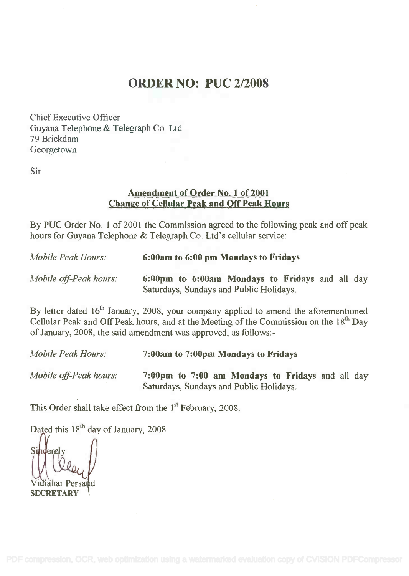## ORDER NO: PUC 2/2008

Chief Executive Officer Chief Executive Officer Guyana Telephone & Telegraph Co. Ltd Guyana Telephone & Telegraph Co. Ltd 79 Brickdam 79 Brickdam Georgetown Georgetown

Sir

## Amendment of Order No. 1 of 2001 Amendment of Order No.1 of2001 Change of Cellular Peak and Off Peak Hours Change of Cellular Peak and OfTPeak Hours

By PUC Order No. 1 of 2001 the Commission agreed to the following peak and off peak hours for Guyana Telephone & Telegraph Co. Ltd's cellular service: hours for Guyana Telephone & Telegraph Co. Ltd's cellular service:

| <b>Mobile Peak Hours:</b> | 6:00am to 6:00 pm Mondays to Fridays                                                       |
|---------------------------|--------------------------------------------------------------------------------------------|
| Mobile off-Peak hours:    | 6:00pm to 6:00am Mondays to Fridays and all day<br>Saturdays, Sundays and Public Holidays. |

By letter dated 16<sup>th</sup> January, 2008, your company applied to amend the aforementioned Cellular Peak and Off Peak hours, and at the Meeting of the Commission on the 18<sup>th</sup> Day of January, 2008, the said amendment was approved, as follows:- of January, 2008, the said amendment was approved, as follows:-

| <b>Mobile Peak Hours:</b> | 7:00am to 7:00pm Mondays to Fridays                                                         |
|---------------------------|---------------------------------------------------------------------------------------------|
| Mobile off-Peak hours:    | 7:00pm to 7:00 am Mondays to Fridays and all day<br>Saturdays, Sundays and Public Holidays. |

This Order shall take effect from the 1st February, 2008.

Dated this  $18^{th}$  day of January, 2008

 $\text{er}$ dy  $\vert \vert$ ahar Persa **SECRETARY**